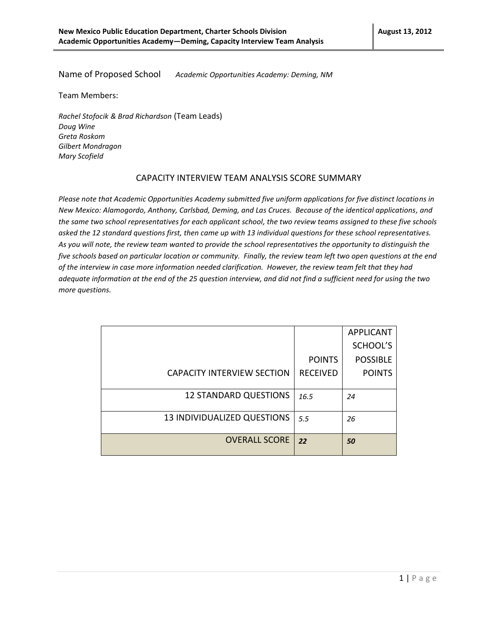Name of Proposed School *Academic Opportunities Academy: Deming, NM*

Team Members:

*Rachel Stofocik & Brad Richardson* (Team Leads) *Doug Wine Greta Roskom Gilbert Mondragon Mary Scofield*

## CAPACITY INTERVIEW TEAM ANALYSIS SCORE SUMMARY

*Please note that Academic Opportunities Academy submitted five uniform applications for five distinct locations in New Mexico: Alamogordo, Anthony, Carlsbad, Deming, and Las Cruces. Because of the identical applications, and the same two school representatives for each applicant school, the two review teams assigned to these five schools asked the 12 standard questions first, then came up with 13 individual questions for these school representatives. As you will note, the review team wanted to provide the school representatives the opportunity to distinguish the five schools based on particular location or community. Finally, the review team left two open questions at the end of the interview in case more information needed clarification. However, the review team felt that they had adequate information at the end of the 25 question interview, and did not find a sufficient need for using the two more questions.*

|                                   |                 | <b>APPLICANT</b> |
|-----------------------------------|-----------------|------------------|
|                                   |                 | SCHOOL'S         |
|                                   | <b>POINTS</b>   | <b>POSSIBLE</b>  |
| <b>CAPACITY INTERVIEW SECTION</b> | <b>RECEIVED</b> | <b>POINTS</b>    |
|                                   |                 |                  |
| <b>12 STANDARD QUESTIONS</b>      | 16.5            | 24               |
|                                   |                 |                  |
| 13 INDIVIDUALIZED QUESTIONS       | 5.5             | 26               |
|                                   |                 |                  |
| <b>OVERALL SCORE</b>              | 22              | 50               |
|                                   |                 |                  |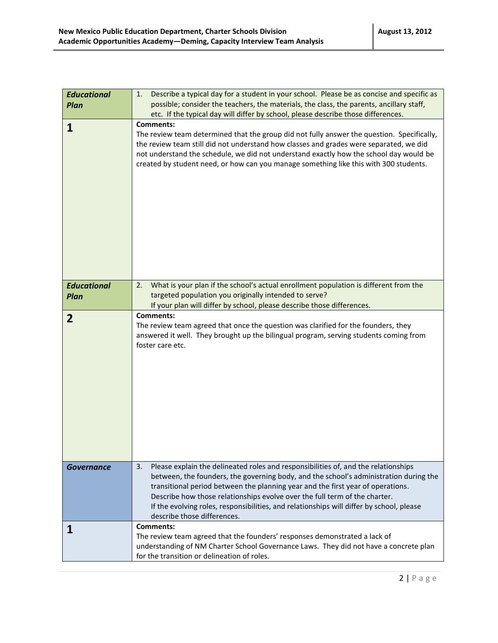| <b>Educational</b><br>Plan | Describe a typical day for a student in your school. Please be as concise and specific as<br>1.<br>possible; consider the teachers, the materials, the class, the parents, ancillary staff,<br>etc. If the typical day will differ by school, please describe those differences.                                                                                                                                                                                              |
|----------------------------|-------------------------------------------------------------------------------------------------------------------------------------------------------------------------------------------------------------------------------------------------------------------------------------------------------------------------------------------------------------------------------------------------------------------------------------------------------------------------------|
| 1                          | <b>Comments:</b><br>The review team determined that the group did not fully answer the question. Specifically,<br>the review team still did not understand how classes and grades were separated, we did<br>not understand the schedule, we did not understand exactly how the school day would be<br>created by student need, or how can you manage something like this with 300 students.                                                                                   |
| <b>Educational</b>         | What is your plan if the school's actual enrollment population is different from the<br>2.                                                                                                                                                                                                                                                                                                                                                                                    |
| Plan                       | targeted population you originally intended to serve?<br>If your plan will differ by school, please describe those differences.                                                                                                                                                                                                                                                                                                                                               |
| $\overline{2}$             | <b>Comments:</b><br>The review team agreed that once the question was clarified for the founders, they<br>answered it well. They brought up the bilingual program, serving students coming from<br>foster care etc.                                                                                                                                                                                                                                                           |
| <b>Governance</b>          | Please explain the delineated roles and responsibilities of, and the relationships<br>3.<br>between, the founders, the governing body, and the school's administration during the<br>transitional period between the planning year and the first year of operations.<br>Describe how those relationships evolve over the full term of the charter.<br>If the evolving roles, responsibilities, and relationships will differ by school, please<br>describe those differences. |
|                            | <b>Comments:</b><br>The review team agreed that the founders' responses demonstrated a lack of<br>understanding of NM Charter School Governance Laws. They did not have a concrete plan<br>for the transition or delineation of roles.                                                                                                                                                                                                                                        |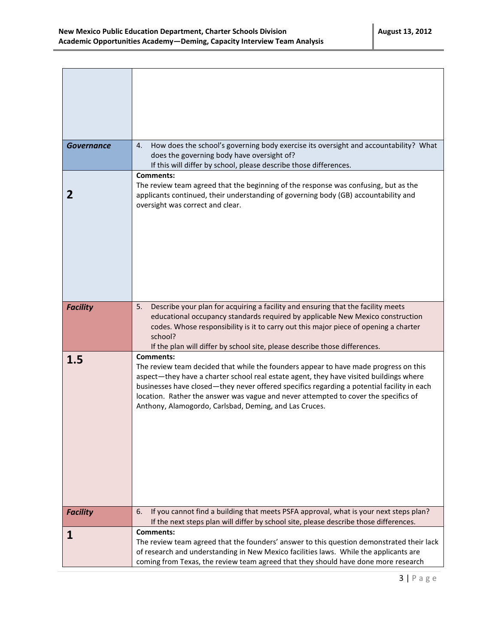| <b>Governance</b> | How does the school's governing body exercise its oversight and accountability? What<br>4.<br>does the governing body have oversight of?<br>If this will differ by school, please describe those differences.                                                                                                                                                                                                                                     |
|-------------------|---------------------------------------------------------------------------------------------------------------------------------------------------------------------------------------------------------------------------------------------------------------------------------------------------------------------------------------------------------------------------------------------------------------------------------------------------|
| 2                 | <b>Comments:</b><br>The review team agreed that the beginning of the response was confusing, but as the<br>applicants continued, their understanding of governing body (GB) accountability and<br>oversight was correct and clear.                                                                                                                                                                                                                |
| <b>Facility</b>   | Describe your plan for acquiring a facility and ensuring that the facility meets<br>5.<br>educational occupancy standards required by applicable New Mexico construction<br>codes. Whose responsibility is it to carry out this major piece of opening a charter<br>school?<br>If the plan will differ by school site, please describe those differences.                                                                                         |
| 1.5               | <b>Comments:</b><br>The review team decided that while the founders appear to have made progress on this<br>aspect-they have a charter school real estate agent, they have visited buildings where<br>businesses have closed—they never offered specifics regarding a potential facility in each<br>location. Rather the answer was vague and never attempted to cover the specifics of<br>Anthony, Alamogordo, Carlsbad, Deming, and Las Cruces. |
| <b>Facility</b>   | If you cannot find a building that meets PSFA approval, what is your next steps plan?<br>6.<br>If the next steps plan will differ by school site, please describe those differences.                                                                                                                                                                                                                                                              |
| ı                 | <b>Comments:</b><br>The review team agreed that the founders' answer to this question demonstrated their lack<br>of research and understanding in New Mexico facilities laws. While the applicants are<br>coming from Texas, the review team agreed that they should have done more research                                                                                                                                                      |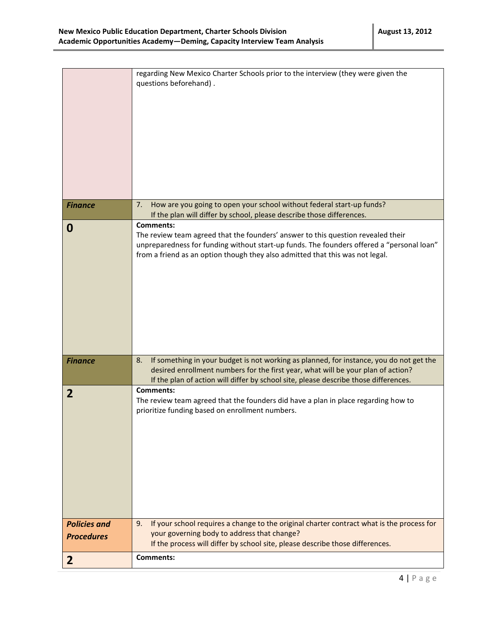|                     | regarding New Mexico Charter Schools prior to the interview (they were given the<br>questions beforehand).                                                                                                                                                                         |
|---------------------|------------------------------------------------------------------------------------------------------------------------------------------------------------------------------------------------------------------------------------------------------------------------------------|
| <b>Finance</b>      | How are you going to open your school without federal start-up funds?<br>7.<br>If the plan will differ by school, please describe those differences.                                                                                                                               |
| 0                   | <b>Comments:</b><br>The review team agreed that the founders' answer to this question revealed their<br>unpreparedness for funding without start-up funds. The founders offered a "personal loan"<br>from a friend as an option though they also admitted that this was not legal. |
| <b>Finance</b>      | If something in your budget is not working as planned, for instance, you do not get the<br>8.<br>desired enrollment numbers for the first year, what will be your plan of action?<br>If the plan of action will differ by school site, please describe those differences.          |
| $\overline{2}$      | <b>Comments:</b><br>The review team agreed that the founders did have a plan in place regarding how to<br>prioritize funding based on enrollment numbers.                                                                                                                          |
| <b>Policies and</b> | If your school requires a change to the original charter contract what is the process for<br>9.<br>your governing body to address that change?                                                                                                                                     |
| <b>Procedures</b>   | If the process will differ by school site, please describe those differences.                                                                                                                                                                                                      |
| $\mathbf{2}$        | Comments:                                                                                                                                                                                                                                                                          |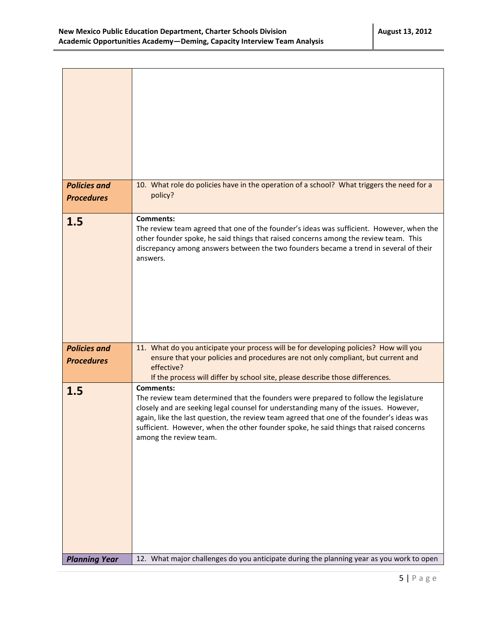| <b>Policies and</b><br><b>Procedures</b> | 10. What role do policies have in the operation of a school? What triggers the need for a<br>policy?                                                                                                                                                                                                                                                                                                              |
|------------------------------------------|-------------------------------------------------------------------------------------------------------------------------------------------------------------------------------------------------------------------------------------------------------------------------------------------------------------------------------------------------------------------------------------------------------------------|
| 1.5                                      | <b>Comments:</b><br>The review team agreed that one of the founder's ideas was sufficient. However, when the<br>other founder spoke, he said things that raised concerns among the review team. This<br>discrepancy among answers between the two founders became a trend in several of their<br>answers.                                                                                                         |
| <b>Policies and</b><br><b>Procedures</b> | 11. What do you anticipate your process will be for developing policies? How will you<br>ensure that your policies and procedures are not only compliant, but current and<br>effective?<br>If the process will differ by school site, please describe those differences.                                                                                                                                          |
| 1.5                                      | <b>Comments:</b><br>The review team determined that the founders were prepared to follow the legislature<br>closely and are seeking legal counsel for understanding many of the issues. However,<br>again, like the last question, the review team agreed that one of the founder's ideas was<br>sufficient. However, when the other founder spoke, he said things that raised concerns<br>among the review team. |
| <b>Planning Year</b>                     | 12. What major challenges do you anticipate during the planning year as you work to open                                                                                                                                                                                                                                                                                                                          |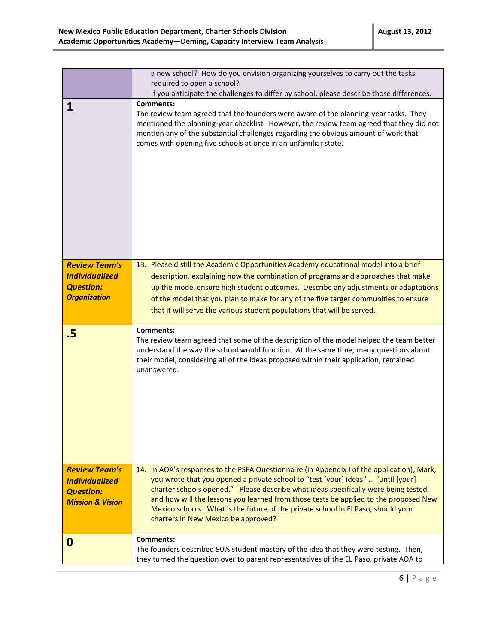|                                                                                                  | a new school? How do you envision organizing yourselves to carry out the tasks<br>required to open a school?                                                                                                                                                                                                                                                                                                                                                                             |
|--------------------------------------------------------------------------------------------------|------------------------------------------------------------------------------------------------------------------------------------------------------------------------------------------------------------------------------------------------------------------------------------------------------------------------------------------------------------------------------------------------------------------------------------------------------------------------------------------|
|                                                                                                  | If you anticipate the challenges to differ by school, please describe those differences.                                                                                                                                                                                                                                                                                                                                                                                                 |
| 1                                                                                                | Comments:<br>The review team agreed that the founders were aware of the planning-year tasks. They<br>mentioned the planning-year checklist. However, the review team agreed that they did not<br>mention any of the substantial challenges regarding the obvious amount of work that<br>comes with opening five schools at once in an unfamiliar state.                                                                                                                                  |
| <b>Review Team's</b><br><b>Individualized</b><br><b>Question:</b><br><b>Organization</b>         | 13. Please distill the Academic Opportunities Academy educational model into a brief<br>description, explaining how the combination of programs and approaches that make<br>up the model ensure high student outcomes. Describe any adjustments or adaptations<br>of the model that you plan to make for any of the five target communities to ensure<br>that it will serve the various student populations that will be served.                                                         |
| .5                                                                                               | <b>Comments:</b><br>The review team agreed that some of the description of the model helped the team better<br>understand the way the school would function. At the same time, many questions about<br>their model, considering all of the ideas proposed within their application, remained<br>unanswered.                                                                                                                                                                              |
| <b>Review Team's</b><br><b>Individualized</b><br><b>Question:</b><br><b>Mission &amp; Vision</b> | 14. In AOA's responses to the PSFA Questionnaire (in Appendix I of the application), Mark,<br>you wrote that you opened a private school to "test [your] ideas"  "until [your]<br>charter schools opened." Please describe what ideas specifically were being tested,<br>and how will the lessons you learned from those tests be applied to the proposed New<br>Mexico schools. What is the future of the private school in El Paso, should your<br>charters in New Mexico be approved? |
| 0                                                                                                | <b>Comments:</b><br>The founders described 90% student mastery of the idea that they were testing. Then,<br>they turned the question over to parent representatives of the EL Paso, private AOA to                                                                                                                                                                                                                                                                                       |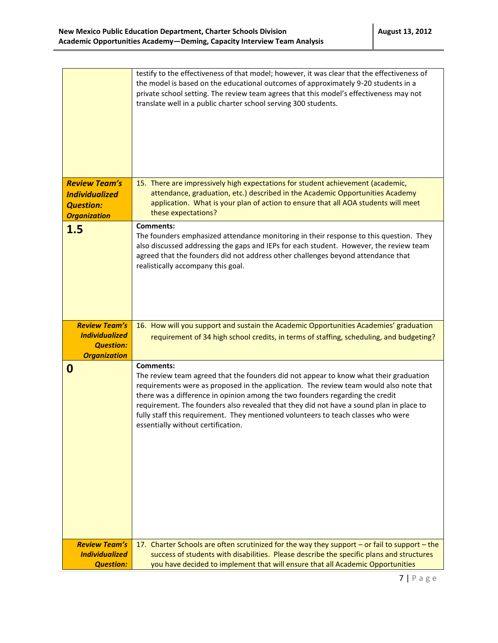| <b>Review Team's</b>                                                                     | testify to the effectiveness of that model; however, it was clear that the effectiveness of<br>the model is based on the educational outcomes of approximately 9-20 students in a<br>private school setting. The review team agrees that this model's effectiveness may not<br>translate well in a public charter school serving 300 students.<br>15. There are impressively high expectations for student achievement (academic,                                                                          |
|------------------------------------------------------------------------------------------|------------------------------------------------------------------------------------------------------------------------------------------------------------------------------------------------------------------------------------------------------------------------------------------------------------------------------------------------------------------------------------------------------------------------------------------------------------------------------------------------------------|
| <b>Individualized</b><br><b>Question:</b><br><b>Organization</b>                         | attendance, graduation, etc.) described in the Academic Opportunities Academy<br>application. What is your plan of action to ensure that all AOA students will meet<br>these expectations?                                                                                                                                                                                                                                                                                                                 |
| 1.5                                                                                      | <b>Comments:</b><br>The founders emphasized attendance monitoring in their response to this question. They<br>also discussed addressing the gaps and IEPs for each student. However, the review team<br>agreed that the founders did not address other challenges beyond attendance that<br>realistically accompany this goal.                                                                                                                                                                             |
| <b>Review Team's</b><br><b>Individualized</b><br><b>Question:</b><br><b>Organization</b> | 16. How will you support and sustain the Academic Opportunities Academies' graduation<br>requirement of 34 high school credits, in terms of staffing, scheduling, and budgeting?                                                                                                                                                                                                                                                                                                                           |
| 0                                                                                        | <b>Comments:</b><br>The review team agreed that the founders did not appear to know what their graduation<br>requirements were as proposed in the application. The review team would also note that<br>there was a difference in opinion among the two founders regarding the credit<br>requirement. The founders also revealed that they did not have a sound plan in place to<br>fully staff this requirement. They mentioned volunteers to teach classes who were<br>essentially without certification. |
| <b>Review Team's</b><br><b>Individualized</b><br><b>Question:</b>                        | 17. Charter Schools are often scrutinized for the way they support - or fail to support - the<br>success of students with disabilities. Please describe the specific plans and structures<br>you have decided to implement that will ensure that all Academic Opportunities                                                                                                                                                                                                                                |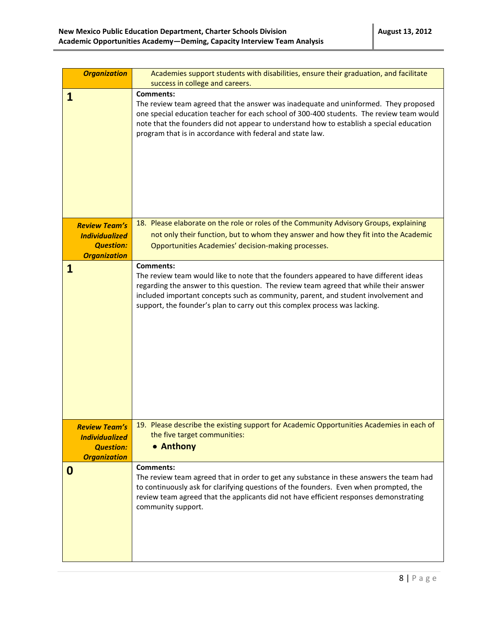| <b>Organization</b>                                                                      | Academies support students with disabilities, ensure their graduation, and facilitate<br>success in college and careers.                                                                                                                                                                                                                                               |
|------------------------------------------------------------------------------------------|------------------------------------------------------------------------------------------------------------------------------------------------------------------------------------------------------------------------------------------------------------------------------------------------------------------------------------------------------------------------|
| 1                                                                                        | <b>Comments:</b><br>The review team agreed that the answer was inadequate and uninformed. They proposed<br>one special education teacher for each school of 300-400 students. The review team would<br>note that the founders did not appear to understand how to establish a special education<br>program that is in accordance with federal and state law.           |
| <b>Review Team's</b><br><b>Individualized</b><br><b>Question:</b><br><b>Organization</b> | 18. Please elaborate on the role or roles of the Community Advisory Groups, explaining<br>not only their function, but to whom they answer and how they fit into the Academic<br>Opportunities Academies' decision-making processes.                                                                                                                                   |
| 1                                                                                        | <b>Comments:</b><br>The review team would like to note that the founders appeared to have different ideas<br>regarding the answer to this question. The review team agreed that while their answer<br>included important concepts such as community, parent, and student involvement and<br>support, the founder's plan to carry out this complex process was lacking. |
| <b>Review Team's</b><br><b>Individualized</b><br><b>Question:</b><br><b>Organization</b> | 19. Please describe the existing support for Academic Opportunities Academies in each of<br>the five target communities:<br>• Anthony                                                                                                                                                                                                                                  |
| 0                                                                                        | <b>Comments:</b><br>The review team agreed that in order to get any substance in these answers the team had<br>to continuously ask for clarifying questions of the founders. Even when prompted, the<br>review team agreed that the applicants did not have efficient responses demonstrating<br>community support.                                                    |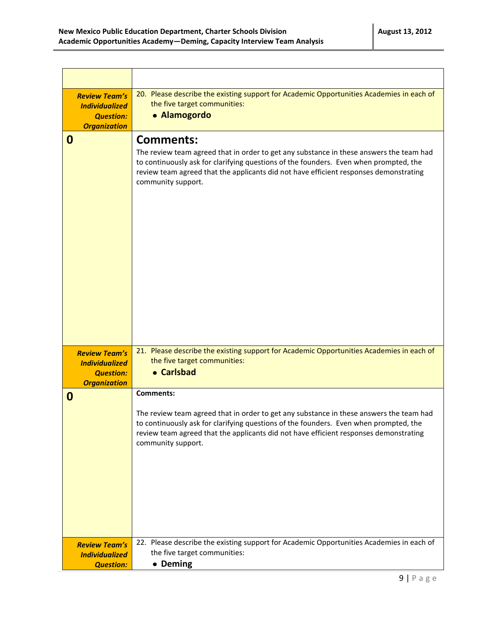| <b>Review Team's</b><br><b>Individualized</b><br><b>Question:</b><br><b>Organization</b> | 20. Please describe the existing support for Academic Opportunities Academies in each of<br>the five target communities:<br>• Alamogordo                                                                                                                                                                            |
|------------------------------------------------------------------------------------------|---------------------------------------------------------------------------------------------------------------------------------------------------------------------------------------------------------------------------------------------------------------------------------------------------------------------|
| 0                                                                                        | <b>Comments:</b><br>The review team agreed that in order to get any substance in these answers the team had<br>to continuously ask for clarifying questions of the founders. Even when prompted, the<br>review team agreed that the applicants did not have efficient responses demonstrating<br>community support. |
| <b>Review Team's</b><br><b>Individualized</b><br><b>Question:</b><br><b>Organization</b> | 21. Please describe the existing support for Academic Opportunities Academies in each of<br>the five target communities:<br>• Carlsbad                                                                                                                                                                              |
| $\boldsymbol{0}$                                                                         | <b>Comments:</b><br>The review team agreed that in order to get any substance in these answers the team had<br>to continuously ask for clarifying questions of the founders. Even when prompted, the<br>review team agreed that the applicants did not have efficient responses demonstrating<br>community support. |
| <b>Review Team's</b><br><b>Individualized</b><br><b>Question:</b>                        | 22. Please describe the existing support for Academic Opportunities Academies in each of<br>the five target communities:<br>• Deming                                                                                                                                                                                |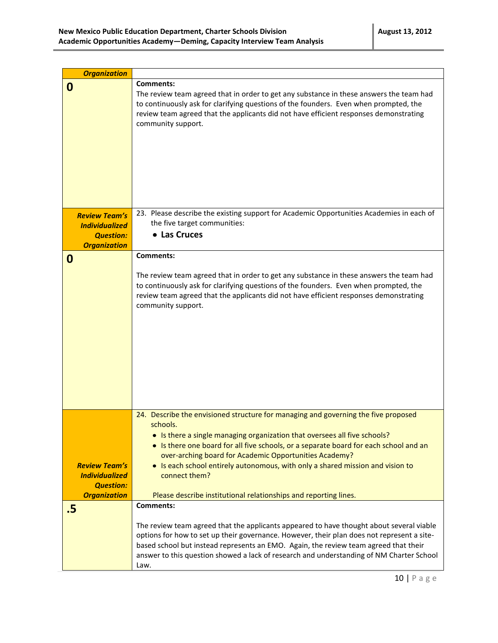| <b>Organization</b>   |                                                                                                                                                 |
|-----------------------|-------------------------------------------------------------------------------------------------------------------------------------------------|
| 0                     | <b>Comments:</b>                                                                                                                                |
|                       | The review team agreed that in order to get any substance in these answers the team had                                                         |
|                       | to continuously ask for clarifying questions of the founders. Even when prompted, the                                                           |
|                       | review team agreed that the applicants did not have efficient responses demonstrating                                                           |
|                       | community support.                                                                                                                              |
|                       |                                                                                                                                                 |
|                       |                                                                                                                                                 |
|                       |                                                                                                                                                 |
|                       |                                                                                                                                                 |
|                       |                                                                                                                                                 |
|                       |                                                                                                                                                 |
|                       |                                                                                                                                                 |
| <b>Review Team's</b>  | 23. Please describe the existing support for Academic Opportunities Academies in each of                                                        |
| <b>Individualized</b> | the five target communities:                                                                                                                    |
| <b>Question:</b>      | • Las Cruces                                                                                                                                    |
| <b>Organization</b>   |                                                                                                                                                 |
| 0                     | <b>Comments:</b>                                                                                                                                |
|                       |                                                                                                                                                 |
|                       | The review team agreed that in order to get any substance in these answers the team had                                                         |
|                       | to continuously ask for clarifying questions of the founders. Even when prompted, the                                                           |
|                       | review team agreed that the applicants did not have efficient responses demonstrating                                                           |
|                       | community support.                                                                                                                              |
|                       |                                                                                                                                                 |
|                       |                                                                                                                                                 |
|                       |                                                                                                                                                 |
|                       |                                                                                                                                                 |
|                       |                                                                                                                                                 |
|                       |                                                                                                                                                 |
|                       |                                                                                                                                                 |
|                       |                                                                                                                                                 |
|                       |                                                                                                                                                 |
|                       | 24. Describe the envisioned structure for managing and governing the five proposed                                                              |
|                       | schools.                                                                                                                                        |
|                       | • Is there a single managing organization that oversees all five schools?                                                                       |
|                       | • Is there one board for all five schools, or a separate board for each school and an<br>over-arching board for Academic Opportunities Academy? |
| <b>Review Team's</b>  | • Is each school entirely autonomous, with only a shared mission and vision to                                                                  |
| <b>Individualized</b> | connect them?                                                                                                                                   |
| <b>Question:</b>      |                                                                                                                                                 |
| <b>Organization</b>   | Please describe institutional relationships and reporting lines.                                                                                |
| .5                    | <b>Comments:</b>                                                                                                                                |
|                       |                                                                                                                                                 |
|                       | The review team agreed that the applicants appeared to have thought about several viable                                                        |
|                       | options for how to set up their governance. However, their plan does not represent a site-                                                      |
|                       | based school but instead represents an EMO. Again, the review team agreed that their                                                            |
|                       | answer to this question showed a lack of research and understanding of NM Charter School                                                        |
|                       | Law.                                                                                                                                            |